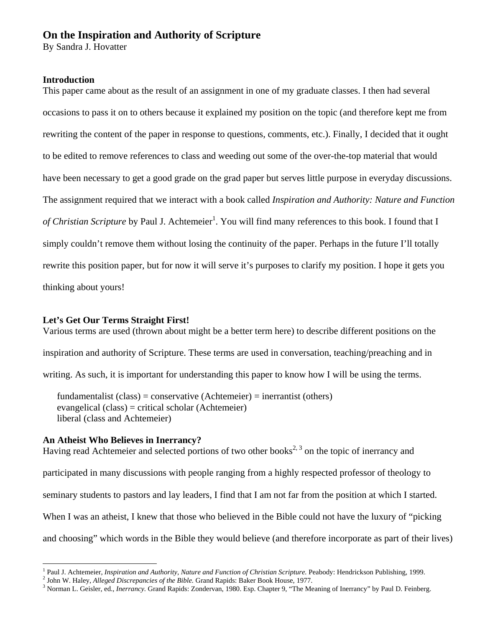# **On the Inspiration and Authority of Scripture**

By Sandra J. Hovatter

### **Introduction**

This paper came about as the result of an assignment in one of my graduate classes. I then had several occasions to pass it on to others because it explained my position on the topic (and therefore kept me from rewriting the content of the paper in response to questions, comments, etc.). Finally, I decided that it ought to be edited to remove references to class and weeding out some of the over-the-top material that would have been necessary to get a good grade on the grad paper but serves little purpose in everyday discussions. The assignment required that we interact with a book called *Inspiration and Authority: Nature and Function*  of Christian Scripture by Paul J. Achtemeier<sup>1</sup>. You will find many references to this book. I found that I simply couldn't remove them without losing the continuity of the paper. Perhaps in the future I'll totally rewrite this position paper, but for now it will serve it's purposes to clarify my position. I hope it gets you thinking about yours!

# **Let's Get Our Terms Straight First!**

Various terms are used (thrown about might be a better term here) to describe different positions on the inspiration and authority of Scripture. These terms are used in conversation, teaching/preaching and in writing. As such, it is important for understanding this paper to know how I will be using the terms.

fundamentalist  $(class) = conservative (Achteneier) = invariant (others)$ evangelical (class) = critical scholar (Achtemeier) liberal (class and Achtemeier)

# **An Atheist Who Believes in Inerrancy?**

 $\overline{a}$ 

Having read Achtemeier and selected portions of two other books<sup>2, 3</sup> on the topic of inerrancy and participated in many discussions with people ranging from a highly respected professor of theology to seminary students to pastors and lay leaders, I find that I am not far from the position at which I started. When I was an atheist, I knew that those who believed in the Bible could not have the luxury of "picking" and choosing" which words in the Bible they would believe (and therefore incorporate as part of their lives)

<sup>&</sup>lt;sup>1</sup> Paul J. Achtemeier, *Inspiration and Authority, Nature and Function of Christian Scripture*. Peabody: Hendrickson Publishing, 1999.<br><sup>2</sup> John W. Heloy, Alleged Disgrapancies of the Pible Grand Bapida: Peker Pook House,

<sup>&</sup>lt;sup>2</sup> John W. Haley, *Alleged Discrepancies of the Bible*. Grand Rapids: Baker Book House, 1977.

<sup>&</sup>lt;sup>3</sup> Norman L. Geisler, ed., *Inerrancy*. Grand Rapids: Zondervan, 1980. Esp. Chapter 9, "The Meaning of Inerrancy" by Paul D. Feinberg.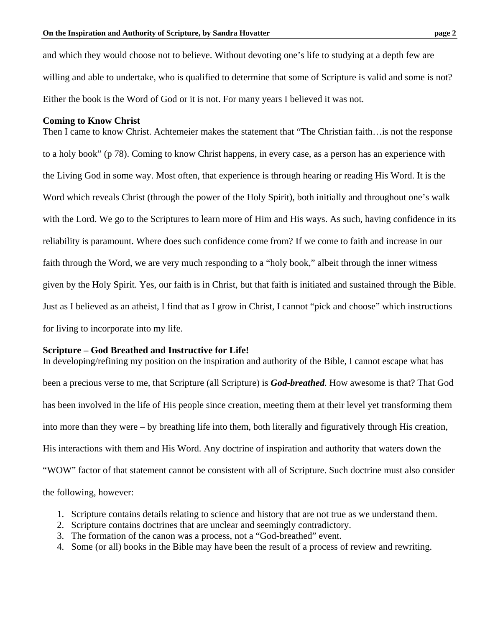and which they would choose not to believe. Without devoting one's life to studying at a depth few are willing and able to undertake, who is qualified to determine that some of Scripture is valid and some is not? Either the book is the Word of God or it is not. For many years I believed it was not.

#### **Coming to Know Christ**

Then I came to know Christ. Achtemeier makes the statement that "The Christian faith…is not the response to a holy book" (p 78). Coming to know Christ happens, in every case, as a person has an experience with the Living God in some way. Most often, that experience is through hearing or reading His Word. It is the Word which reveals Christ (through the power of the Holy Spirit), both initially and throughout one's walk with the Lord. We go to the Scriptures to learn more of Him and His ways. As such, having confidence in its reliability is paramount. Where does such confidence come from? If we come to faith and increase in our faith through the Word, we are very much responding to a "holy book," albeit through the inner witness given by the Holy Spirit. Yes, our faith is in Christ, but that faith is initiated and sustained through the Bible. Just as I believed as an atheist, I find that as I grow in Christ, I cannot "pick and choose" which instructions for living to incorporate into my life.

### **Scripture – God Breathed and Instructive for Life!**

In developing/refining my position on the inspiration and authority of the Bible, I cannot escape what has been a precious verse to me, that Scripture (all Scripture) is *God-breathed*. How awesome is that? That God has been involved in the life of His people since creation, meeting them at their level yet transforming them into more than they were – by breathing life into them, both literally and figuratively through His creation, His interactions with them and His Word. Any doctrine of inspiration and authority that waters down the "WOW" factor of that statement cannot be consistent with all of Scripture. Such doctrine must also consider the following, however:

- 1. Scripture contains details relating to science and history that are not true as we understand them.
- 2. Scripture contains doctrines that are unclear and seemingly contradictory.
- 3. The formation of the canon was a process, not a "God-breathed" event.
- 4. Some (or all) books in the Bible may have been the result of a process of review and rewriting.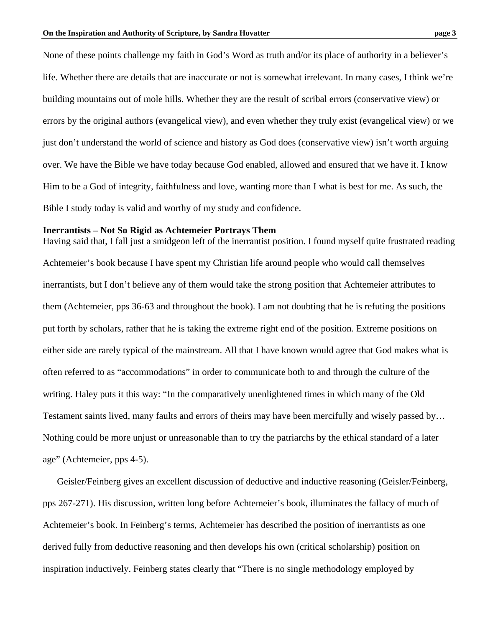None of these points challenge my faith in God's Word as truth and/or its place of authority in a believer's life. Whether there are details that are inaccurate or not is somewhat irrelevant. In many cases, I think we're building mountains out of mole hills. Whether they are the result of scribal errors (conservative view) or errors by the original authors (evangelical view), and even whether they truly exist (evangelical view) or we just don't understand the world of science and history as God does (conservative view) isn't worth arguing over. We have the Bible we have today because God enabled, allowed and ensured that we have it. I know Him to be a God of integrity, faithfulness and love, wanting more than I what is best for me. As such, the Bible I study today is valid and worthy of my study and confidence.

#### **Inerrantists – Not So Rigid as Achtemeier Portrays Them**

Having said that, I fall just a smidgeon left of the inerrantist position. I found myself quite frustrated reading Achtemeier's book because I have spent my Christian life around people who would call themselves inerrantists, but I don't believe any of them would take the strong position that Achtemeier attributes to them (Achtemeier, pps 36-63 and throughout the book). I am not doubting that he is refuting the positions put forth by scholars, rather that he is taking the extreme right end of the position. Extreme positions on either side are rarely typical of the mainstream. All that I have known would agree that God makes what is often referred to as "accommodations" in order to communicate both to and through the culture of the writing. Haley puts it this way: "In the comparatively unenlightened times in which many of the Old Testament saints lived, many faults and errors of theirs may have been mercifully and wisely passed by… Nothing could be more unjust or unreasonable than to try the patriarchs by the ethical standard of a later age" (Achtemeier, pps 4-5).

 Geisler/Feinberg gives an excellent discussion of deductive and inductive reasoning (Geisler/Feinberg, pps 267-271). His discussion, written long before Achtemeier's book, illuminates the fallacy of much of Achtemeier's book. In Feinberg's terms, Achtemeier has described the position of inerrantists as one derived fully from deductive reasoning and then develops his own (critical scholarship) position on inspiration inductively. Feinberg states clearly that "There is no single methodology employed by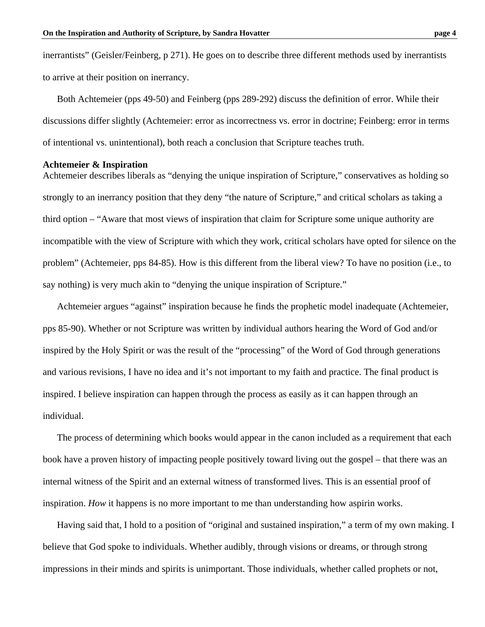inerrantists" (Geisler/Feinberg, p 271). He goes on to describe three different methods used by inerrantists to arrive at their position on inerrancy.

Both Achtemeier (pps 49-50) and Feinberg (pps 289-292) discuss the definition of error. While their discussions differ slightly (Achtemeier: error as incorrectness vs. error in doctrine; Feinberg: error in terms of intentional vs. unintentional), both reach a conclusion that Scripture teaches truth.

#### **Achtemeier & Inspiration**

Achtemeier describes liberals as "denying the unique inspiration of Scripture," conservatives as holding so strongly to an inerrancy position that they deny "the nature of Scripture," and critical scholars as taking a third option – "Aware that most views of inspiration that claim for Scripture some unique authority are incompatible with the view of Scripture with which they work, critical scholars have opted for silence on the problem" (Achtemeier, pps 84-85). How is this different from the liberal view? To have no position (i.e., to say nothing) is very much akin to "denying the unique inspiration of Scripture."

 Achtemeier argues "against" inspiration because he finds the prophetic model inadequate (Achtemeier, pps 85-90). Whether or not Scripture was written by individual authors hearing the Word of God and/or inspired by the Holy Spirit or was the result of the "processing" of the Word of God through generations and various revisions, I have no idea and it's not important to my faith and practice. The final product is inspired. I believe inspiration can happen through the process as easily as it can happen through an individual.

 The process of determining which books would appear in the canon included as a requirement that each book have a proven history of impacting people positively toward living out the gospel – that there was an internal witness of the Spirit and an external witness of transformed lives. This is an essential proof of inspiration. *How* it happens is no more important to me than understanding how aspirin works.

 Having said that, I hold to a position of "original and sustained inspiration," a term of my own making. I believe that God spoke to individuals. Whether audibly, through visions or dreams, or through strong impressions in their minds and spirits is unimportant. Those individuals, whether called prophets or not,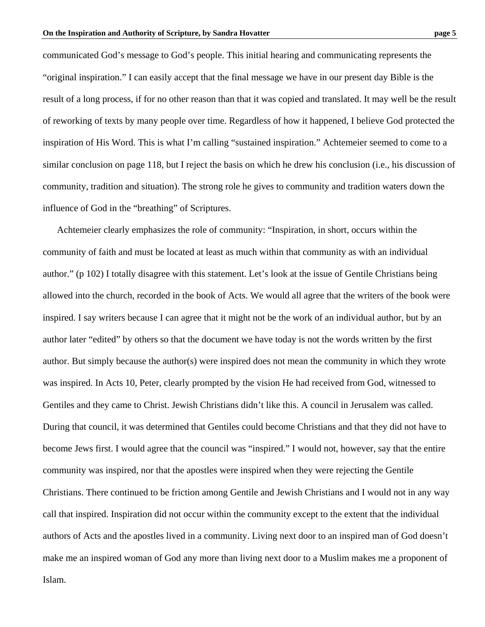communicated God's message to God's people. This initial hearing and communicating represents the "original inspiration." I can easily accept that the final message we have in our present day Bible is the result of a long process, if for no other reason than that it was copied and translated. It may well be the result of reworking of texts by many people over time. Regardless of how it happened, I believe God protected the inspiration of His Word. This is what I'm calling "sustained inspiration." Achtemeier seemed to come to a similar conclusion on page 118, but I reject the basis on which he drew his conclusion (i.e., his discussion of community, tradition and situation). The strong role he gives to community and tradition waters down the

influence of God in the "breathing" of Scriptures.

 Achtemeier clearly emphasizes the role of community: "Inspiration, in short, occurs within the community of faith and must be located at least as much within that community as with an individual author." (p 102) I totally disagree with this statement. Let's look at the issue of Gentile Christians being allowed into the church, recorded in the book of Acts. We would all agree that the writers of the book were inspired. I say writers because I can agree that it might not be the work of an individual author, but by an author later "edited" by others so that the document we have today is not the words written by the first author. But simply because the author(s) were inspired does not mean the community in which they wrote was inspired. In Acts 10, Peter, clearly prompted by the vision He had received from God, witnessed to Gentiles and they came to Christ. Jewish Christians didn't like this. A council in Jerusalem was called. During that council, it was determined that Gentiles could become Christians and that they did not have to become Jews first. I would agree that the council was "inspired." I would not, however, say that the entire community was inspired, nor that the apostles were inspired when they were rejecting the Gentile Christians. There continued to be friction among Gentile and Jewish Christians and I would not in any way call that inspired. Inspiration did not occur within the community except to the extent that the individual authors of Acts and the apostles lived in a community. Living next door to an inspired man of God doesn't make me an inspired woman of God any more than living next door to a Muslim makes me a proponent of Islam.